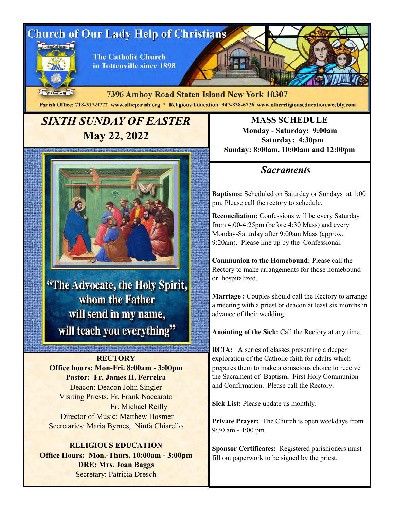# **Church of Our Lady Help of Christians**



**The Catholic Church** in Tottenville since 1898

MDCCCXCVIII 7396 Amboy Road Staten Island New York 10307 Parish Office: 718-317-9772 www.olhcparish.org \* Religious Education: 347-838-6726 www.olhcreligiouseducation.weebly.com

## *SIXTH SUNDAY OF EASTER*  **May 22, 2022**



"The Advocate, the Holy Spirit, whom the Father will send in my name, will teach you everything"

**THE PURSE OF STREET** 

**RECTORY Office hours: Mon-Fri. 8:00am - 3:00pm Pastor: Fr. James H. Ferreira** Deacon: Deacon John Singler Visiting Priests: Fr. Frank Naccarato Fr. Michael Reilly Director of Music: Matthew Hosmer Secretaries: Maria Byrnes, Ninfa Chiarello

**RELIGIOUS EDUCATION Office Hours: Mon.-Thurs. 10:00am - 3:00pm DRE: Mrs. Joan Baggs** Secretary: Patricia Dresch

**MASS SCHEDULE Monday - Saturday: 9:00am Saturday: 4:30pm Sunday: 8:00am, 10:00am and 12:00pm**

### *Sacraments*

**Baptisms:** Scheduled on Saturday or Sundays at 1:00 pm. Please call the rectory to schedule.

**Reconciliation:** Confessions will be every Saturday from 4:00-4:25pm (before 4:30 Mass) and every Monday-Saturday after 9:00am Mass (approx. 9:20am). Please line up by the Confessional.

**Communion to the Homebound:** Please call the Rectory to make arrangements for those homebound or hospitalized.

**Marriage :** Couples should call the Rectory to arrange a meeting with a priest or deacon at least six months in advance of their wedding.

**Anointing of the Sick:** Call the Rectory at any time.

**RCIA:** A series of classes presenting a deeper exploration of the Catholic faith for adults which prepares them to make a conscious choice to receive the Sacrament of Baptism, First Holy Communion and Confirmation. Please call the Rectory.

**Sick List:** Please update us monthly.

**Private Prayer:** The Church is open weekdays from 9:30 am - 4:00 pm.

**Sponsor Certificates:** Registered parishioners must fill out paperwork to be signed by the priest.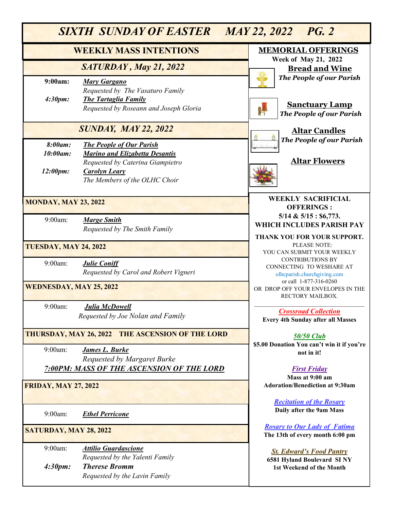| SIXTH SUNDAY OF EASTER<br>MAY 22, 2022 PG. 2 |                                                                                                                                                                       |                                                                                           |  |  |
|----------------------------------------------|-----------------------------------------------------------------------------------------------------------------------------------------------------------------------|-------------------------------------------------------------------------------------------|--|--|
|                                              | <b>WEEKLY MASS INTENTIONS</b>                                                                                                                                         | <b>MEMORIAL OFFERINGS</b>                                                                 |  |  |
|                                              | SATURDAY, May 21, 2022                                                                                                                                                | <b>Week of May 21, 2022</b><br><b>Bread and Wine</b>                                      |  |  |
| 9:00am:<br>4:30pm:                           | <b>Mary Gargano</b><br>Requested by The Vasaturo Family<br><b>The Tartaglia Family</b><br>Requested by Roseann and Joseph Gloria                                      | The People of our Parish<br><b>Sanctuary Lamp</b><br><b>The People of our Parish</b>      |  |  |
| <b>SUNDAY, MAY 22, 2022</b>                  |                                                                                                                                                                       | <b>Altar Candles</b>                                                                      |  |  |
| 8:00am:<br>10:00am:<br>12:00pm:              | <b>The People of Our Parish</b><br><b>Marino and Elizabetta Desantis</b><br>Requested by Caterina Giampietro<br><b>Carolyn Leary</b><br>The Members of the OLHC Choir | The People of our Parish<br><b>Altar Flowers</b>                                          |  |  |
| <b>MONDAY, MAY 23, 2022</b>                  |                                                                                                                                                                       | <b>WEEKLY SACRIFICIAL</b><br><b>OFFERINGS:</b><br>$5/14 \& 5/15 : $6,773.$                |  |  |
| 9:00am:                                      | <b>Marge Smith</b><br>Requested by The Smith Family                                                                                                                   | WHICH INCLUDES PARISH PAY<br>THANK YOU FOR YOUR SUPPORT.                                  |  |  |
| TUESDAY, MAY 24, 2022                        |                                                                                                                                                                       | PLEASE NOTE:<br>YOU CAN SUBMIT YOUR WEEKLY                                                |  |  |
| 9:00am:                                      | <b>Julie Coniff</b><br>Requested by Carol and Robert Vigneri                                                                                                          | <b>CONTRIBUTIONS BY</b><br>CONNECTING TO WESHARE AT<br>olhcparish.churchgiving.com        |  |  |
| <b>WEDNESDAY, MAY 25, 2022</b>               |                                                                                                                                                                       | or call 1-877-316-0260<br>OR DROP OFF YOUR ENVELOPES IN THE<br>RECTORY MAILBOX.           |  |  |
| 9:00am:                                      | Julia McDowell<br>Requested by Joe Nolan and Family                                                                                                                   | <b>Crossroad Collection</b><br><b>Every 4th Sunday after all Masses</b>                   |  |  |
|                                              | <b>THURSDAY, MAY 26, 2022 THE ASCENSION OF THE LORD</b>                                                                                                               | 50/50 Club<br>\$5.00 Donation You can't win it if you're                                  |  |  |
| 9:00am:                                      | <b>James L. Burke</b><br>Requested by Margaret Burke                                                                                                                  | not in it!                                                                                |  |  |
|                                              | <b>7:00PM: MASS OF THE ASCENSION OF THE LORD</b>                                                                                                                      | <b>First Friday</b><br>Mass at 9:00 am                                                    |  |  |
| <b>FRIDAY, MAY 27, 2022</b>                  |                                                                                                                                                                       | <b>Adoration/Benediction at 9:30am</b><br><b>Recitation of the Rosary</b>                 |  |  |
| 9:00am:                                      | <b>Ethel Perricone</b>                                                                                                                                                | Daily after the 9am Mass                                                                  |  |  |
| SATURDAY, MAY 28, 2022                       |                                                                                                                                                                       | <b>Rosary to Our Lady of Fatima</b><br>The 13th of every month 6:00 pm                    |  |  |
| 9:00am:<br>4:30pm:                           | <b>Attilio Guardascione</b><br>Requested by the Yalenti Family<br><b>Therese Bromm</b><br>Requested by the Lavin Family                                               | <b>St. Edward's Food Pantry</b><br>6581 Hyland Boulevard SINY<br>1st Weekend of the Month |  |  |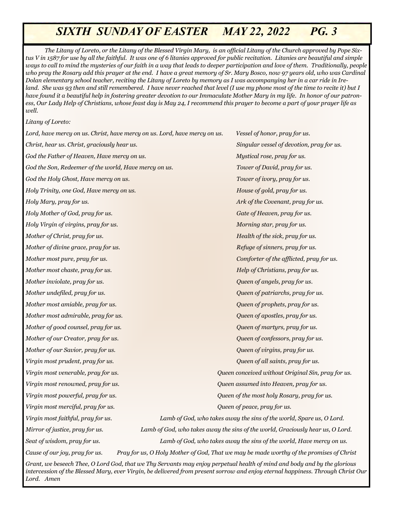*The Litany of Loreto, or the Litany of the Blessed Virgin Mary, is an official Litany of the Church approved by Pope Sixtus V in 1587 for use by all the faithful. It was one of 6 litanies approved for public recitation. Litanies are beautiful and simple ways to call to mind the mysteries of our faith in a way that leads to deeper participation and love of them. Traditionally, people who pray the Rosary add this prayer at the end. I have a great memory of Sr. Mary Bosco, now 97 years old, who was Cardinal Dolan elementary school teacher, reciting the Litany of Loreto by memory as I was accompanying her in a car ride in Ireland. She was 93 then and still remembered. I have never reached that level (I use my phone most of the time to recite it) but I have found it a beautiful help in fostering greater devotion to our Immaculate Mother Mary in my life. In honor of our patroness, Our Lady Help of Christians, whose feast day is May 24, I recommend this prayer to become a part of your prayer life as well.*

*Litany of Loreto:*

9:00am: *Concetta DiCesare, Lidia and Domenico Olivo God the Father of Heaven, Have mercy on us. Mystical rose, pray for us. Requested by Olivo and Fiorica Families God the Son, Redeemer of the world, Have mercy on us. Tower of David, pray for us. Lord, have mercy on us. Christ, have mercy on us. Lord, have mercy on us. Vessel of honor, pray for us. Christ, hear us. Christ, graciously hear us. Singular vessel of devotion, pray for us. God the Holy Ghost, Have mercy on us. Tower of ivory, pray for us. Holy Trinity, one God, Have mercy on us. House of gold, pray for us. Holy Mary, pray for us. Ark of the Covenant, pray for us. Holy Mother of God, pray for us. Gate of Heaven, pray for us. Holy Virgin of virgins, pray for us. Morning star, pray for us. Mother of Christ, pray for us. Health of the sick, pray for us. Mother of divine grace, pray for us. Refuge of sinners, pray for us. Refuge of sinners, pray for us. Mother most pure, pray for us. Comforter of the afflicted, pray for us. Mother most chaste, pray for us. Help of Christians, pray for us. Mother inviolate, pray for us. Queen of angels, pray for us. Mother undefiled, pray for us. Queen of patriarchs, pray for us. Mother most amiable, pray for us. Queen of prophets, pray for us. Mother most admirable, pray for us. Queen of apostles, pray for us. Mother of good counsel, pray for us. Queen of martyrs, pray for us. Mother of our Creator, pray for us. Queen of confessors, pray for us. Mother of our Savior, pray for us. Queen of virgins, pray for us. Virgin most prudent, pray for us. Queen of all saints, pray for us. Virgin most venerable, pray for us. Queen conceived without Original Sin, pray for us. Virgin most renowned, pray for us. Queen assumed into Heaven, pray for us. Virgin most powerful, pray for us. Queen of the most holy Rosary, pray for us. Virgin most merciful, pray for us. Queen of peace, pray for us. Virgin most faithful, pray for us. Lamb of God, who takes away the sins of the world, Spare us, O Lord. Mirror of justice, pray for us. Lamb of God, who takes away the sins of the world, Graciously hear us, O Lord.*

*Seat of wisdom, pray for us. Lamb of God, who takes away the sins of the world, Have mercy on us. Cause of our joy, pray for us. Pray for us, O Holy Mother of God, That we may be made worthy of the promises of Christ Grant, we beseech Thee, O Lord God, that we Thy Servants may enjoy perpetual health of mind and body and by the glorious intercession of the Blessed Mary, ever Virgin, be delivered from present sorrow and enjoy eternal happiness. Through Christ Our Lord. Amen*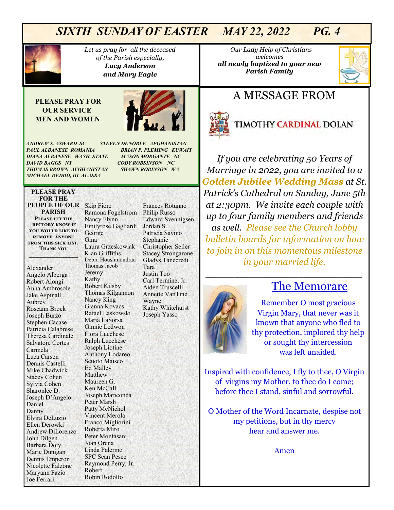

*Let us pray for all the deceased of the Parish especially, Lucy Anderson and Mary Eagle* 

#### **PLEASE PRAY FOR OUR SERVICE MEN AND WOMEN**



*ANDREW S. ASWARD SC STEVEN DENOBLE AFGHANISTAN PAUL ALBANESE ROMANIA BRIAN P. FLEMING KUWAIT DIANA ALBANESE WASH. STATE MASON MORGANTE NC DAVID BAGGS NY CODY ROBSINSON NC THOMAS BROWN AFGHANISTAN SHAWN ROBINSON WA MICHAEL DEDDO, III ALASKA* 

#### **PLEASE PRAY FOR THE PEOPLE OF OUR**  Skip Fiore **PARISH Please let the rectory know if you would like to**

**remove anyone from this sick list. Thank you \_\_\_\_\_\_\_\_\_\_\_\_\_\_\_\_\_**

Alexander Angelo Alberga Robert Alongi Anna Ambrosole Jake Aspinall Aubrey Roseann Brock Joseph Burzo Stephen Cacase Patricia Calabrese Theresa Cardinale Salvatore Cortes Carmela Luca Carsen Dennis Castelli Mike Chadwick Stacey Cohen Sylvia Cohen Sharonlee D. Joseph D'Angelo Daniel Danny Elvira DeLuzio Ellen Derowki Andrew DiLorenzo John Dilgen Barbara Doty Marie Dunigan Dennis Emperor Nicolette Falzone Maryann Fazio Joe Ferrari

Ramona Fogelstrom Nancy Flynn Emilyrose Gagliardi George Gina Laura Grzeskowiak Kian Griffiths Debra Houshmondrad Thomas Jacob Jeremy Kathy Robert Kilsby Thomas Kilgannon Nancy King Gianna Kovacs Rafael Laskowski Maria LaSorsa Ginnie Ledwon Flora Lucchese Ralph Lucchese Joseph Liotine Anthony Lodareo Scuoto Maisco Ed Malley Matthew Maureen G. Ken McCall Joseph Mariconda Peter Marsh Patty McNichol Vincent Merola Franco Migliorini Roberta Miro Peter Monfasani Joan Orena Linda Palermo SPC Sean Pesce Raymond Perry, Jr. Robert Robin Rodolfo

Frances Rotunno Philip Russo Edward Svennigsen Jordan S. Patricia Savino Stephanie Christopher Seiler Stacey Strongarone Gladys Tanecredi Tara Justin Too Carl Termine, Jr. Aiden Truscelli Annette VanTine Wayne Kathy Whitehurst Joseph Yasso

 *Our Lady Help of Christians welcomes all newly baptized to your new Parish Family* 



## A MESSAGE FROM



## **TIMOTHY CARDINAL DOLAN**

*If you are celebrating 50 Years of Marriage in 2022, you are invited to a Golden Jubilee Wedding Mass at St. Patrick's Cathedral on Sunday, June 5th at 2:30pm. We invite each couple with up to four family members and friends as well. Please see the Church lobby bulletin boards for information on how to join in on this momentous milestone in your married life.* 

*\_\_\_\_\_\_\_\_\_\_\_\_\_\_\_\_\_\_\_\_\_\_\_\_\_\_\_*



## The Memorare

Remember O most gracious Virgin Mary, that never was it known that anyone who fled to thy protection, implored thy help or sought thy intercession was left unaided.

Inspired with confidence, I fly to thee, O Virgin of virgins my Mother, to thee do I come; before thee I stand, sinful and sorrowful.

O Mother of the Word Incarnate, despise not my petitions, but in thy mercy hear and answer me.

Amen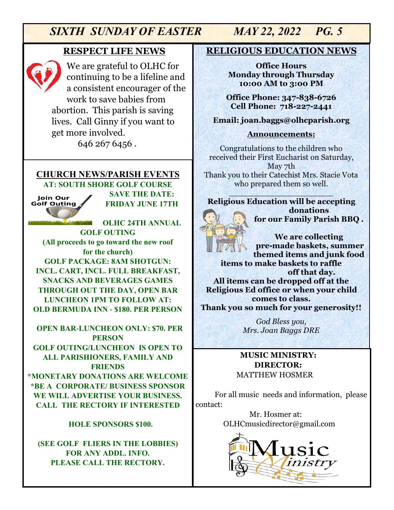#### **RESPECT LIFE NEWS**



We are grateful to OLHC for continuing to be a lifeline and a consistent encourager of the work to save babies from abortion. This parish is saving lives. Call Ginny if you want to get more involved.

646 267 6456 .

#### **CHURCH NEWS/PARISH EVENTS AT: SOUTH SHORE GOLF COURSE**

Join Our **Golf Outing** 

**SAVE THE DATE: FRIDAY JUNE 17TH**

**OLHC 24TH ANNUAL GOLF OUTING (All proceeds to go toward the new roof for the church) GOLF PACKAGE: 8AM SHOTGUN: INCL. CART, INCL. FULL BREAKFAST, SNACKS AND BEVERAGES GAMES THROUGH OUT THE DAY, OPEN BAR LUNCHEON 1PM TO FOLLOW AT: OLD BERMUDA INN - \$180. PER PERSON** 

 **OPEN BAR-LUNCHEON ONLY: \$70. PER PERSON GOLF OUTING/LUNCHEON IS OPEN TO ALL PARISHIONERS, FAMILY AND FRIENDS \*MONETARY DONATIONS ARE WELCOME \*BE A CORPORATE/ BUSINESS SPONSOR WE WILL ADVERTISE YOUR BUSINESS. CALL THE RECTORY IF INTERESTED**

#### **HOLE SPONSORS \$100.**

**(SEE GOLF FLIERS IN THE LOBBIES) FOR ANY ADDL. INFO. PLEASE CALL THE RECTORY.** 

#### **RELIGIOUS EDUCATION NEWS**

**Office Hours Monday through Thursday 10:00 AM to 3:00 PM**

**Office Phone: 347-838-6726 Cell Phone: 718-227-2441**

#### **Email: joan.baggs@olhcparish.org**

#### **Announcements:**

Congratulations to the children who received their First Eucharist on Saturday, May 7th Thank you to their Catechist Mrs. Stacie Vota who prepared them so well.

#### $\mathcal{B}$  , in the function of  $\mathcal{B}$  , i.e., i.e., **Religious Education will be accepting donations for our Family Parish BBQ .**

**We are collecting pre-made baskets, summer themed items and junk food items to make baskets to raffle off that day. All items can be dropped off at the Religious Ed office or when your child comes to class. Thank you so much for your generosity!!**

> *God Bless you, Mrs. Joan Baggs DRE*

#### **MUSIC MINISTRY: DIRECTOR:**  MATTHEW HOSMER

For all music needs and information, please contact:

> Mr. Hosmer at: OLHCmusicdirector@gmail.com